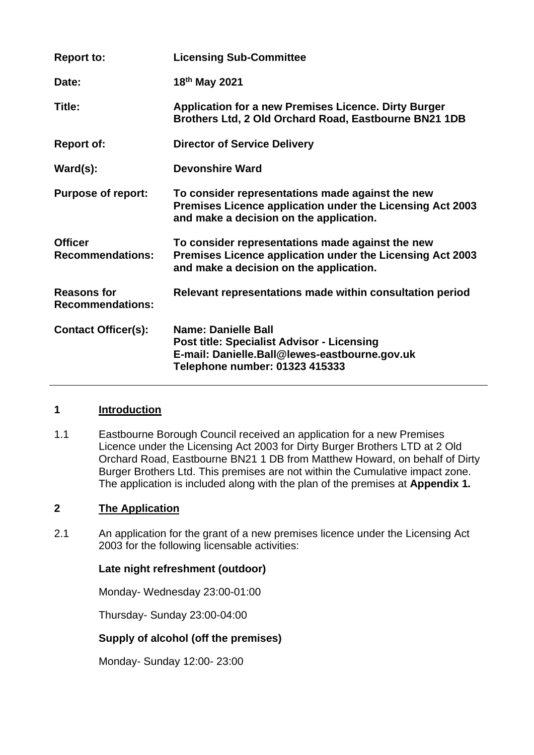| <b>Report to:</b>                             | <b>Licensing Sub-Committee</b>                                                                                                                                     |
|-----------------------------------------------|--------------------------------------------------------------------------------------------------------------------------------------------------------------------|
| Date:                                         | 18 <sup>th</sup> May 2021                                                                                                                                          |
| Title:                                        | <b>Application for a new Premises Licence. Dirty Burger</b><br>Brothers Ltd, 2 Old Orchard Road, Eastbourne BN21 1DB                                               |
| <b>Report of:</b>                             | <b>Director of Service Delivery</b>                                                                                                                                |
| $\textsf{Ward}(s)$ :                          | <b>Devonshire Ward</b>                                                                                                                                             |
| <b>Purpose of report:</b>                     | To consider representations made against the new<br>Premises Licence application under the Licensing Act 2003<br>and make a decision on the application.           |
| <b>Officer</b><br><b>Recommendations:</b>     | To consider representations made against the new<br>Premises Licence application under the Licensing Act 2003<br>and make a decision on the application.           |
| <b>Reasons for</b><br><b>Recommendations:</b> | Relevant representations made within consultation period                                                                                                           |
| <b>Contact Officer(s):</b>                    | <b>Name: Danielle Ball</b><br><b>Post title: Specialist Advisor - Licensing</b><br>E-mail: Danielle.Ball@lewes-eastbourne.gov.uk<br>Telephone number: 01323 415333 |

### **1 Introduction**

1.1 Eastbourne Borough Council received an application for a new Premises Licence under the Licensing Act 2003 for Dirty Burger Brothers LTD at 2 Old Orchard Road, Eastbourne BN21 1 DB from Matthew Howard, on behalf of Dirty Burger Brothers Ltd. This premises are not within the Cumulative impact zone. The application is included along with the plan of the premises at **Appendix 1***.* 

# **2 The Application**

2.1 An application for the grant of a new premises licence under the Licensing Act 2003 for the following licensable activities:

## **Late night refreshment (outdoor)**

Monday- Wednesday 23:00-01:00

Thursday- Sunday 23:00-04:00

## **Supply of alcohol (off the premises)**

Monday- Sunday 12:00- 23:00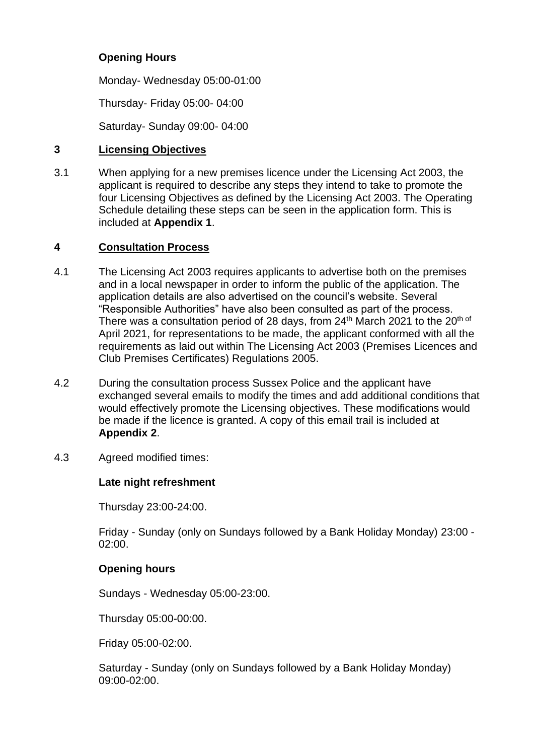## **Opening Hours**

Monday- Wednesday 05:00-01:00

Thursday- Friday 05:00- 04:00

Saturday- Sunday 09:00- 04:00

## **3 Licensing Objectives**

3.1 When applying for a new premises licence under the Licensing Act 2003, the applicant is required to describe any steps they intend to take to promote the four Licensing Objectives as defined by the Licensing Act 2003. The Operating Schedule detailing these steps can be seen in the application form. This is included at **Appendix 1**.

## **4 Consultation Process**

- 4.1 The Licensing Act 2003 requires applicants to advertise both on the premises and in a local newspaper in order to inform the public of the application. The application details are also advertised on the council's website. Several "Responsible Authorities" have also been consulted as part of the process. There was a consultation period of 28 days, from 24<sup>th</sup> March 2021 to the 20<sup>th of</sup> April 2021, for representations to be made, the applicant conformed with all the requirements as laid out within The Licensing Act 2003 (Premises Licences and Club Premises Certificates) Regulations 2005.
- 4.2 During the consultation process Sussex Police and the applicant have exchanged several emails to modify the times and add additional conditions that would effectively promote the Licensing objectives. These modifications would be made if the licence is granted. A copy of this email trail is included at **Appendix 2**.
- 4.3 Agreed modified times:

## **Late night refreshment**

Thursday 23:00-24:00.

Friday - Sunday (only on Sundays followed by a Bank Holiday Monday) 23:00 - 02:00.

## **Opening hours**

Sundays - Wednesday 05:00-23:00.

Thursday 05:00-00:00.

Friday 05:00-02:00.

Saturday - Sunday (only on Sundays followed by a Bank Holiday Monday) 09:00-02:00.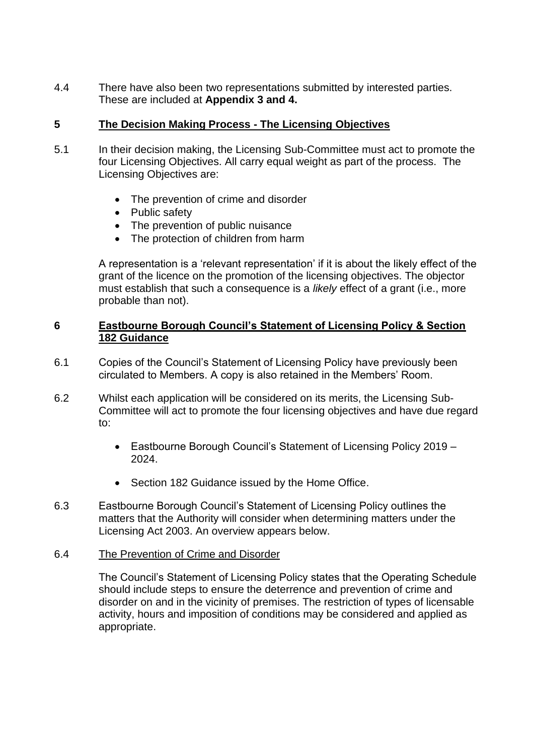4.4 There have also been two representations submitted by interested parties. These are included at **Appendix 3 and 4.**

## **5 The Decision Making Process - The Licensing Objectives**

- 5.1 In their decision making, the Licensing Sub-Committee must act to promote the four Licensing Objectives. All carry equal weight as part of the process. The Licensing Objectives are:
	- The prevention of crime and disorder
	- Public safety
	- The prevention of public nuisance
	- The protection of children from harm

A representation is a 'relevant representation' if it is about the likely effect of the grant of the licence on the promotion of the licensing objectives. The objector must establish that such a consequence is a *likely* effect of a grant (i.e., more probable than not).

## **6 Eastbourne Borough Council's Statement of Licensing Policy & Section 182 Guidance**

- 6.1 Copies of the Council's Statement of Licensing Policy have previously been circulated to Members. A copy is also retained in the Members' Room.
- 6.2 Whilst each application will be considered on its merits, the Licensing Sub-Committee will act to promote the four licensing objectives and have due regard to:
	- Eastbourne Borough Council's Statement of Licensing Policy 2019 2024.
	- Section 182 Guidance issued by the Home Office.
- 6.3 Eastbourne Borough Council's Statement of Licensing Policy outlines the matters that the Authority will consider when determining matters under the Licensing Act 2003. An overview appears below.

### 6.4 The Prevention of Crime and Disorder

The Council's Statement of Licensing Policy states that the Operating Schedule should include steps to ensure the deterrence and prevention of crime and disorder on and in the vicinity of premises. The restriction of types of licensable activity, hours and imposition of conditions may be considered and applied as appropriate.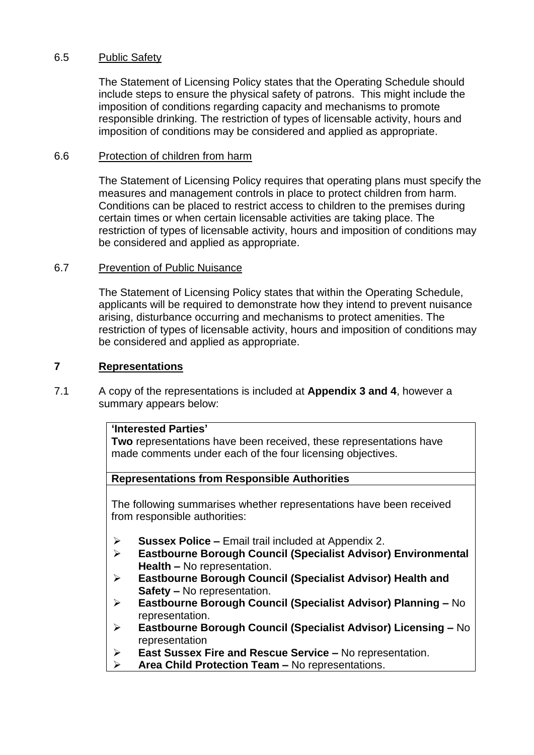### 6.5 Public Safety

The Statement of Licensing Policy states that the Operating Schedule should include steps to ensure the physical safety of patrons. This might include the imposition of conditions regarding capacity and mechanisms to promote responsible drinking. The restriction of types of licensable activity, hours and imposition of conditions may be considered and applied as appropriate.

### 6.6 Protection of children from harm

The Statement of Licensing Policy requires that operating plans must specify the measures and management controls in place to protect children from harm. Conditions can be placed to restrict access to children to the premises during certain times or when certain licensable activities are taking place. The restriction of types of licensable activity, hours and imposition of conditions may be considered and applied as appropriate.

#### 6.7 Prevention of Public Nuisance

The Statement of Licensing Policy states that within the Operating Schedule, applicants will be required to demonstrate how they intend to prevent nuisance arising, disturbance occurring and mechanisms to protect amenities. The restriction of types of licensable activity, hours and imposition of conditions may be considered and applied as appropriate.

### **7 Representations**

7.1 A copy of the representations is included at **Appendix 3 and 4**, however a summary appears below:

## **'Interested Parties'**

**Two** representations have been received, these representations have made comments under each of the four licensing objectives.

### **Representations from Responsible Authorities**

The following summarises whether representations have been received from responsible authorities:

- ➢ **Sussex Police –** Email trail included at Appendix 2.
- ➢ **Eastbourne Borough Council (Specialist Advisor) Environmental Health –** No representation.
- ➢ **Eastbourne Borough Council (Specialist Advisor) Health and Safety –** No representation.
- ➢ **Eastbourne Borough Council (Specialist Advisor) Planning –** No representation.
- ➢ **Eastbourne Borough Council (Specialist Advisor) Licensing –** No representation
- ➢ **East Sussex Fire and Rescue Service –** No representation.
- ➢ **Area Child Protection Team –** No representations.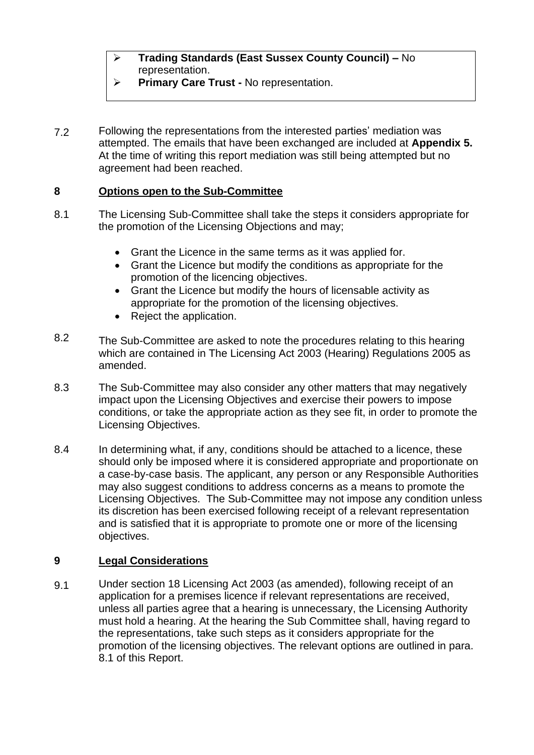- ➢ **Trading Standards (East Sussex County Council) –** No representation.
- ➢ **Primary Care Trust -** No representation.
- 7.2 Following the representations from the interested parties' mediation was attempted. The emails that have been exchanged are included at **Appendix 5.** At the time of writing this report mediation was still being attempted but no agreement had been reached.

## **8 Options open to the Sub-Committee**

- 8.1 The Licensing Sub-Committee shall take the steps it considers appropriate for the promotion of the Licensing Objections and may;
	- Grant the Licence in the same terms as it was applied for.
	- Grant the Licence but modify the conditions as appropriate for the promotion of the licencing objectives.
	- Grant the Licence but modify the hours of licensable activity as appropriate for the promotion of the licensing objectives.
	- Reject the application.
- 8.2 The Sub-Committee are asked to note the procedures relating to this hearing which are contained in The Licensing Act 2003 (Hearing) Regulations 2005 as amended.
- 8.3 The Sub-Committee may also consider any other matters that may negatively impact upon the Licensing Objectives and exercise their powers to impose conditions, or take the appropriate action as they see fit, in order to promote the Licensing Objectives.
- 8.4 In determining what, if any, conditions should be attached to a licence, these should only be imposed where it is considered appropriate and proportionate on a case-by-case basis. The applicant, any person or any Responsible Authorities may also suggest conditions to address concerns as a means to promote the Licensing Objectives. The Sub-Committee may not impose any condition unless its discretion has been exercised following receipt of a relevant representation and is satisfied that it is appropriate to promote one or more of the licensing objectives.

#### **9 Legal Considerations**

9.1 Under section 18 Licensing Act 2003 (as amended), following receipt of an application for a premises licence if relevant representations are received, unless all parties agree that a hearing is unnecessary, the Licensing Authority must hold a hearing. At the hearing the Sub Committee shall, having regard to the representations, take such steps as it considers appropriate for the promotion of the licensing objectives. The relevant options are outlined in para. 8.1 of this Report.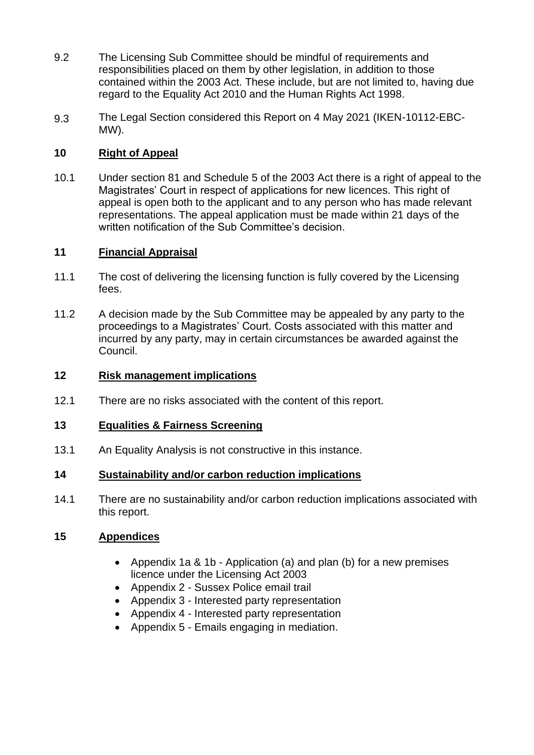- 9.2 The Licensing Sub Committee should be mindful of requirements and responsibilities placed on them by other legislation, in addition to those contained within the 2003 Act. These include, but are not limited to, having due regard to the Equality Act 2010 and the Human Rights Act 1998.
- 9.3 The Legal Section considered this Report on 4 May 2021 (IKEN-10112-EBC-MW).

#### **10 Right of Appeal**

10.1 Under section 81 and Schedule 5 of the 2003 Act there is a right of appeal to the Magistrates' Court in respect of applications for new licences. This right of appeal is open both to the applicant and to any person who has made relevant representations. The appeal application must be made within 21 days of the written notification of the Sub Committee's decision.

## **11 Financial Appraisal**

- 11.1 The cost of delivering the licensing function is fully covered by the Licensing fees.
- 11.2 A decision made by the Sub Committee may be appealed by any party to the proceedings to a Magistrates' Court. Costs associated with this matter and incurred by any party, may in certain circumstances be awarded against the Council.

#### **12 Risk management implications**

 $12.1$ There are no risks associated with the content of this report.

#### **13 Equalities & Fairness Screening**

13.1 An Equality Analysis is not constructive in this instance.

#### **14 Sustainability and/or carbon reduction implications**

14.1 There are no sustainability and/or carbon reduction implications associated with this report.

## **15 Appendices**

- Appendix 1a & 1b Application (a) and plan (b) for a new premises licence under the Licensing Act 2003
- Appendix 2 Sussex Police email trail
- Appendix 3 Interested party representation
- Appendix 4 Interested party representation
- Appendix 5 Emails engaging in mediation.